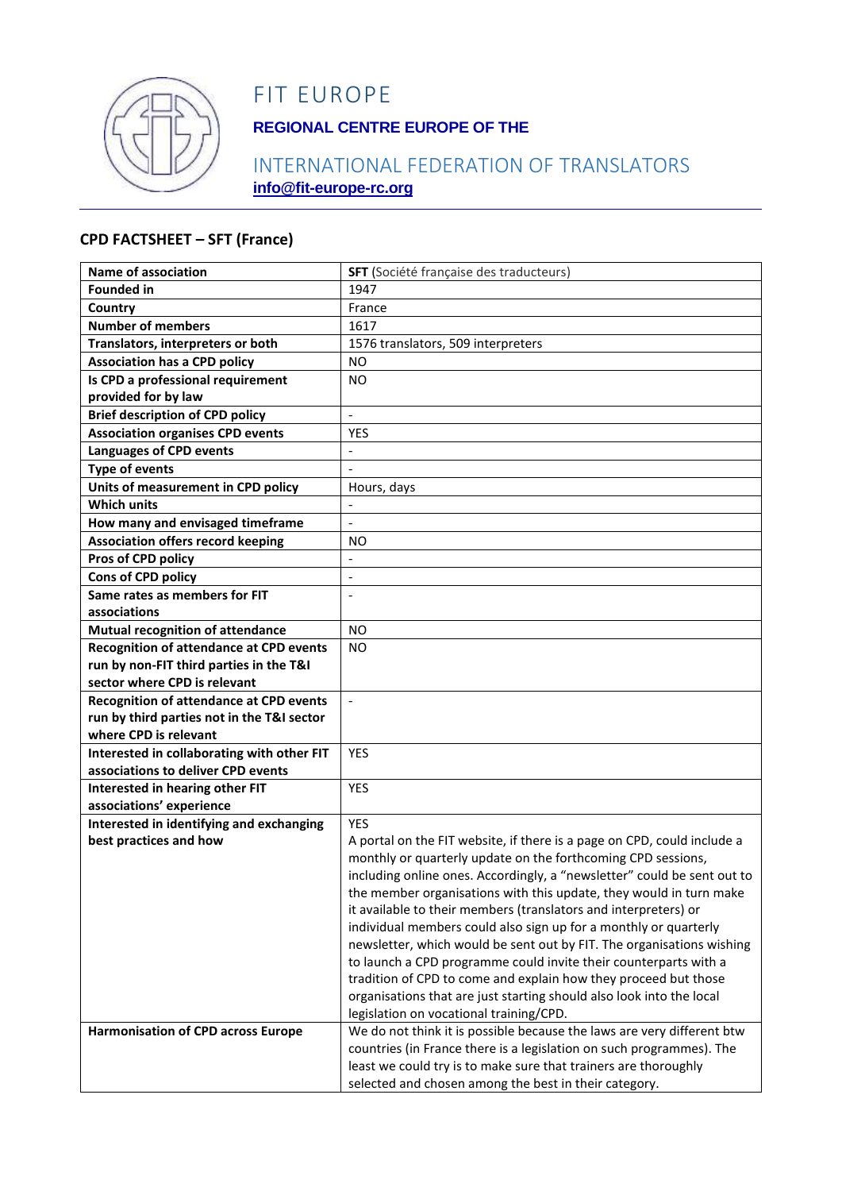

# FIT EUROPE

## **REGIONAL CENTRE EUROPE OF THE**

## INTERNATIONAL FEDERATION OF TRANSLATORS **info@fit-europe-rc.org**

#### **CPD FACTSHEET – SFT (France)**

| <b>Name of association</b>                     | SFT (Société française des traducteurs)                                 |
|------------------------------------------------|-------------------------------------------------------------------------|
| <b>Founded in</b>                              | 1947                                                                    |
| Country                                        | France                                                                  |
| <b>Number of members</b>                       | 1617                                                                    |
| Translators, interpreters or both              | 1576 translators, 509 interpreters                                      |
| <b>Association has a CPD policy</b>            | <b>NO</b>                                                               |
| Is CPD a professional requirement              | <b>NO</b>                                                               |
| provided for by law                            |                                                                         |
| <b>Brief description of CPD policy</b>         | $\blacksquare$                                                          |
| <b>Association organises CPD events</b>        | <b>YES</b>                                                              |
| <b>Languages of CPD events</b>                 | $\overline{\phantom{0}}$                                                |
| <b>Type of events</b>                          | $\Box$                                                                  |
| Units of measurement in CPD policy             | Hours, days                                                             |
| <b>Which units</b>                             |                                                                         |
| How many and envisaged timeframe               | $\blacksquare$                                                          |
| <b>Association offers record keeping</b>       | ΝO                                                                      |
| Pros of CPD policy                             |                                                                         |
| <b>Cons of CPD policy</b>                      | $\overline{\phantom{a}}$                                                |
| Same rates as members for FIT                  |                                                                         |
| associations                                   |                                                                         |
| <b>Mutual recognition of attendance</b>        | <b>NO</b>                                                               |
| <b>Recognition of attendance at CPD events</b> | <b>NO</b>                                                               |
| run by non-FIT third parties in the T&I        |                                                                         |
| sector where CPD is relevant                   |                                                                         |
| <b>Recognition of attendance at CPD events</b> | $\blacksquare$                                                          |
| run by third parties not in the T&I sector     |                                                                         |
| where CPD is relevant                          |                                                                         |
| Interested in collaborating with other FIT     | <b>YES</b>                                                              |
| associations to deliver CPD events             |                                                                         |
| Interested in hearing other FIT                | <b>YES</b>                                                              |
| associations' experience                       |                                                                         |
| Interested in identifying and exchanging       | <b>YES</b>                                                              |
| best practices and how                         | A portal on the FIT website, if there is a page on CPD, could include a |
|                                                | monthly or quarterly update on the forthcoming CPD sessions,            |
|                                                | including online ones. Accordingly, a "newsletter" could be sent out to |
|                                                | the member organisations with this update, they would in turn make      |
|                                                | it available to their members (translators and interpreters) or         |
|                                                | individual members could also sign up for a monthly or quarterly        |
|                                                | newsletter, which would be sent out by FIT. The organisations wishing   |
|                                                | to launch a CPD programme could invite their counterparts with a        |
|                                                | tradition of CPD to come and explain how they proceed but those         |
|                                                | organisations that are just starting should also look into the local    |
|                                                | legislation on vocational training/CPD.                                 |
| <b>Harmonisation of CPD across Europe</b>      | We do not think it is possible because the laws are very different btw  |
|                                                | countries (in France there is a legislation on such programmes). The    |
|                                                | least we could try is to make sure that trainers are thoroughly         |
|                                                | selected and chosen among the best in their category.                   |